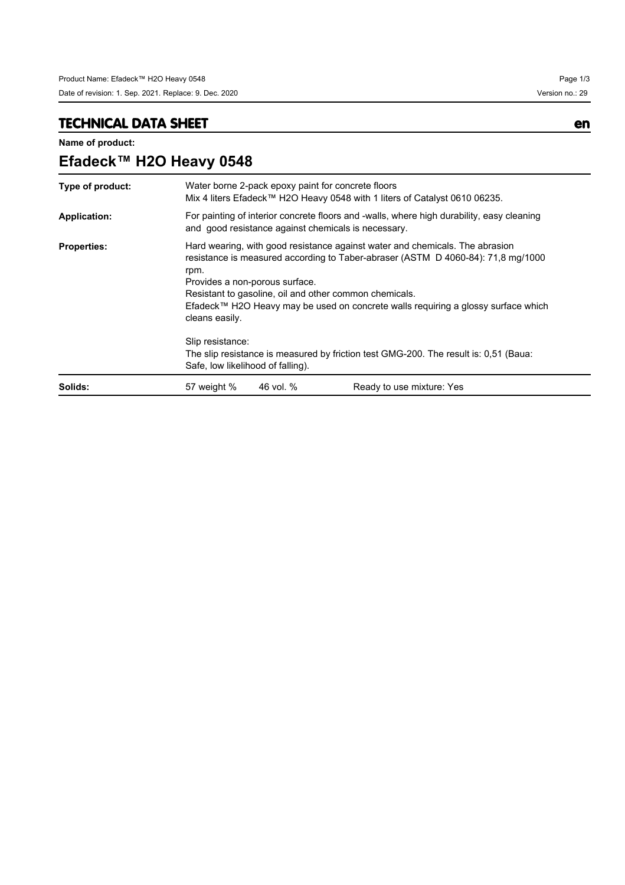# **TECHNICAL DATA SHEET en**

**Name of product:**

| Efadeck™ H2O Heavy 0548 |                                                                                                                                                                                                                                                                                                                                                                             |           |                           |  |
|-------------------------|-----------------------------------------------------------------------------------------------------------------------------------------------------------------------------------------------------------------------------------------------------------------------------------------------------------------------------------------------------------------------------|-----------|---------------------------|--|
| Type of product:        | Water borne 2-pack epoxy paint for concrete floors<br>Mix 4 liters Efadeck™ H2O Heavy 0548 with 1 liters of Catalyst 0610 06235.                                                                                                                                                                                                                                            |           |                           |  |
| <b>Application:</b>     | For painting of interior concrete floors and -walls, where high durability, easy cleaning<br>and good resistance against chemicals is necessary.                                                                                                                                                                                                                            |           |                           |  |
| <b>Properties:</b>      | Hard wearing, with good resistance against water and chemicals. The abrasion<br>resistance is measured according to Taber-abraser (ASTM D 4060-84): 71,8 mg/1000<br>rpm.<br>Provides a non-porous surface.<br>Resistant to gasoline, oil and other common chemicals.<br>Efadeck™ H2O Heavy may be used on concrete walls requiring a glossy surface which<br>cleans easily. |           |                           |  |
|                         | Slip resistance:<br>The slip resistance is measured by friction test GMG-200. The result is: 0,51 (Baua:<br>Safe, low likelihood of falling).                                                                                                                                                                                                                               |           |                           |  |
| Solids:                 | 57 weight %                                                                                                                                                                                                                                                                                                                                                                 | 46 vol. % | Ready to use mixture: Yes |  |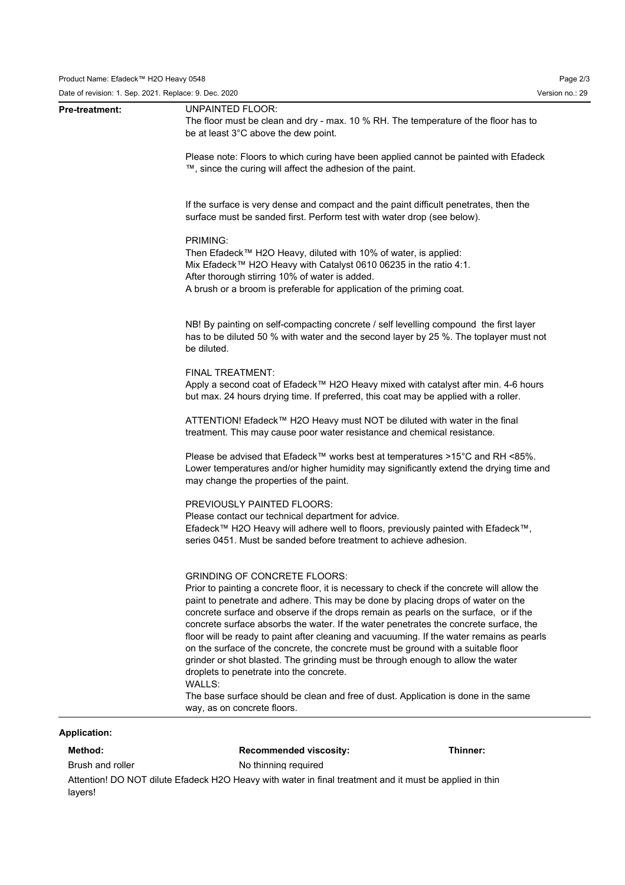| Pre-treatment: | <b>UNPAINTED FLOOR:</b><br>The floor must be clean and dry - max. 10 % RH. The temperature of the floor has to<br>be at least 3°C above the dew point.                                                                                                                                                                                                                                                                                                                                                                                                                                                                                                                                                                                                                                                                                                  |
|----------------|---------------------------------------------------------------------------------------------------------------------------------------------------------------------------------------------------------------------------------------------------------------------------------------------------------------------------------------------------------------------------------------------------------------------------------------------------------------------------------------------------------------------------------------------------------------------------------------------------------------------------------------------------------------------------------------------------------------------------------------------------------------------------------------------------------------------------------------------------------|
|                | Please note: Floors to which curing have been applied cannot be painted with Efadeck<br>™, since the curing will affect the adhesion of the paint.                                                                                                                                                                                                                                                                                                                                                                                                                                                                                                                                                                                                                                                                                                      |
|                | If the surface is very dense and compact and the paint difficult penetrates, then the<br>surface must be sanded first. Perform test with water drop (see below).                                                                                                                                                                                                                                                                                                                                                                                                                                                                                                                                                                                                                                                                                        |
|                | PRIMING:<br>Then Efadeck™ H2O Heavy, diluted with 10% of water, is applied:<br>Mix Efadeck™ H2O Heavy with Catalyst 0610 06235 in the ratio 4:1.<br>After thorough stirring 10% of water is added.<br>A brush or a broom is preferable for application of the priming coat.                                                                                                                                                                                                                                                                                                                                                                                                                                                                                                                                                                             |
|                | NB! By painting on self-compacting concrete / self levelling compound the first layer<br>has to be diluted 50 % with water and the second layer by 25 %. The toplayer must not<br>be diluted.                                                                                                                                                                                                                                                                                                                                                                                                                                                                                                                                                                                                                                                           |
|                | FINAL TREATMENT:<br>Apply a second coat of Efadeck™ H2O Heavy mixed with catalyst after min. 4-6 hours<br>but max. 24 hours drying time. If preferred, this coat may be applied with a roller.                                                                                                                                                                                                                                                                                                                                                                                                                                                                                                                                                                                                                                                          |
|                | ATTENTION! Efadeck™ H2O Heavy must NOT be diluted with water in the final<br>treatment. This may cause poor water resistance and chemical resistance.                                                                                                                                                                                                                                                                                                                                                                                                                                                                                                                                                                                                                                                                                                   |
|                | Please be advised that Efadeck™ works best at temperatures >15°C and RH <85%.<br>Lower temperatures and/or higher humidity may significantly extend the drying time and<br>may change the properties of the paint.                                                                                                                                                                                                                                                                                                                                                                                                                                                                                                                                                                                                                                      |
|                | PREVIOUSLY PAINTED FLOORS:<br>Please contact our technical department for advice.<br>Efadeck™ H2O Heavy will adhere well to floors, previously painted with Efadeck™,<br>series 0451. Must be sanded before treatment to achieve adhesion.                                                                                                                                                                                                                                                                                                                                                                                                                                                                                                                                                                                                              |
|                | <b>GRINDING OF CONCRETE FLOORS:</b><br>Prior to painting a concrete floor, it is necessary to check if the concrete will allow the<br>paint to penetrate and adhere. This may be done by placing drops of water on the<br>concrete surface and observe if the drops remain as pearls on the surface, or if the<br>concrete surface absorbs the water. If the water penetrates the concrete surface, the<br>floor will be ready to paint after cleaning and vacuuming. If the water remains as pearls<br>on the surface of the concrete, the concrete must be ground with a suitable floor<br>grinder or shot blasted. The grinding must be through enough to allow the water<br>droplets to penetrate into the concrete.<br>WALLS:<br>The base surface should be clean and free of dust. Application is done in the same<br>way, as on concrete floors. |

## **Application:**

 $\overline{\phantom{0}}$ 

**Method: Recommended viscosity: Thinner:**

Brush and roller No thinning required

Attention! DO NOT dilute Efadeck H2O Heavy with water in final treatment and it must be applied in thin layers!